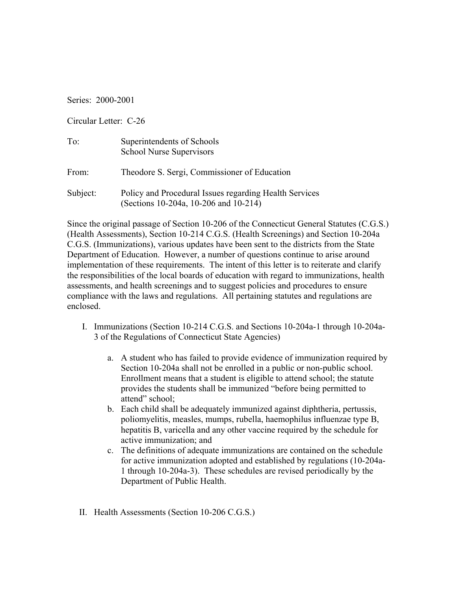Series: 2000-2001

Circular Letter: C-26

| To:      | Superintendents of Schools<br>School Nurse Supervisors                                          |
|----------|-------------------------------------------------------------------------------------------------|
| From:    | Theodore S. Sergi, Commissioner of Education                                                    |
| Subject: | Policy and Procedural Issues regarding Health Services<br>(Sections 10-204a, 10-206 and 10-214) |

Since the original passage of Section 10-206 of the Connecticut General Statutes (C.G.S.) (Health Assessments), Section 10-214 C.G.S. (Health Screenings) and Section 10-204a C.G.S. (Immunizations), various updates have been sent to the districts from the State Department of Education. However, a number of questions continue to arise around implementation of these requirements. The intent of this letter is to reiterate and clarify the responsibilities of the local boards of education with regard to immunizations, health assessments, and health screenings and to suggest policies and procedures to ensure compliance with the laws and regulations. All pertaining statutes and regulations are enclosed.

- I. Immunizations (Section 10-214 C.G.S. and Sections 10-204a-1 through 10-204a-3 of the Regulations of Connecticut State Agencies)
	- a. A student who has failed to provide evidence of immunization required by Section 10-204a shall not be enrolled in a public or non-public school. Enrollment means that a student is eligible to attend school; the statute provides the students shall be immunized "before being permitted to attend" school;
	- b. Each child shall be adequately immunized against diphtheria, pertussis, poliomyelitis, measles, mumps, rubella, haemophilus influenzae type B, hepatitis B, varicella and any other vaccine required by the schedule for active immunization; and
	- c. The definitions of adequate immunizations are contained on the schedule for active immunization adopted and established by regulations (10-204a-1 through 10-204a-3). These schedules are revised periodically by the Department of Public Health.
- II. Health Assessments (Section 10-206 C.G.S.)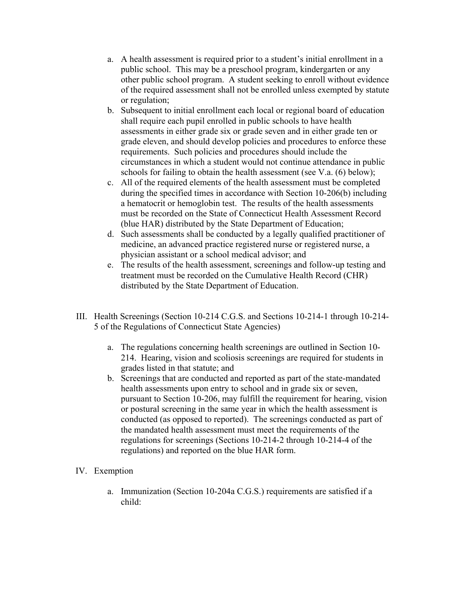- a. A health assessment is required prior to a student's initial enrollment in a public school. This may be a preschool program, kindergarten or any other public school program. A student seeking to enroll without evidence of the required assessment shall not be enrolled unless exempted by statute or regulation;
- b. Subsequent to initial enrollment each local or regional board of education shall require each pupil enrolled in public schools to have health assessments in either grade six or grade seven and in either grade ten or grade eleven, and should develop policies and procedures to enforce these requirements. Such policies and procedures should include the circumstances in which a student would not continue attendance in public schools for failing to obtain the health assessment (see V.a. (6) below);
- c. All of the required elements of the health assessment must be completed during the specified times in accordance with Section 10-206(b) including a hematocrit or hemoglobin test. The results of the health assessments must be recorded on the State of Connecticut Health Assessment Record (blue HAR) distributed by the State Department of Education;
- d. Such assessments shall be conducted by a legally qualified practitioner of medicine, an advanced practice registered nurse or registered nurse, a physician assistant or a school medical advisor; and
- e. The results of the health assessment, screenings and follow-up testing and treatment must be recorded on the Cumulative Health Record (CHR) distributed by the State Department of Education.
- III. Health Screenings (Section 10-214 C.G.S. and Sections 10-214-1 through 10-214- 5 of the Regulations of Connecticut State Agencies)
	- a. The regulations concerning health screenings are outlined in Section 10- 214. Hearing, vision and scoliosis screenings are required for students in grades listed in that statute; and
	- b. Screenings that are conducted and reported as part of the state-mandated health assessments upon entry to school and in grade six or seven, pursuant to Section 10-206, may fulfill the requirement for hearing, vision or postural screening in the same year in which the health assessment is conducted (as opposed to reported). The screenings conducted as part of the mandated health assessment must meet the requirements of the regulations for screenings (Sections 10-214-2 through 10-214-4 of the regulations) and reported on the blue HAR form.
- IV. Exemption
	- a. Immunization (Section 10-204a C.G.S.) requirements are satisfied if a child: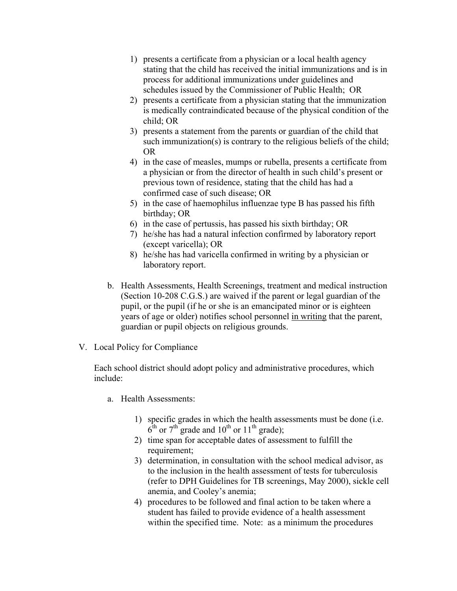- 1) presents a certificate from a physician or a local health agency stating that the child has received the initial immunizations and is in process for additional immunizations under guidelines and schedules issued by the Commissioner of Public Health; OR
- 2) presents a certificate from a physician stating that the immunization is medically contraindicated because of the physical condition of the child; OR
- 3) presents a statement from the parents or guardian of the child that such immunization(s) is contrary to the religious beliefs of the child; OR
- 4) in the case of measles, mumps or rubella, presents a certificate from a physician or from the director of health in such child's present or previous town of residence, stating that the child has had a confirmed case of such disease; OR
- 5) in the case of haemophilus influenzae type B has passed his fifth birthday; OR
- 6) in the case of pertussis, has passed his sixth birthday; OR
- 7) he/she has had a natural infection confirmed by laboratory report (except varicella); OR
- 8) he/she has had varicella confirmed in writing by a physician or laboratory report.
- b. Health Assessments, Health Screenings, treatment and medical instruction (Section 10-208 C.G.S.) are waived if the parent or legal guardian of the pupil, or the pupil (if he or she is an emancipated minor or is eighteen years of age or older) notifies school personnel in writing that the parent, guardian or pupil objects on religious grounds.
- V. Local Policy for Compliance

Each school district should adopt policy and administrative procedures, which include:

- a. Health Assessments:
	- 1) specific grades in which the health assessments must be done (i.e.  $6^{\text{th}}$  or  $7^{\text{th}}$  grade and  $10^{\text{th}}$  or  $11^{\text{th}}$  grade);
	- 2) time span for acceptable dates of assessment to fulfill the requirement;
	- 3) determination, in consultation with the school medical advisor, as to the inclusion in the health assessment of tests for tuberculosis (refer to DPH Guidelines for TB screenings, May 2000), sickle cell anemia, and Cooley's anemia;
	- 4) procedures to be followed and final action to be taken where a student has failed to provide evidence of a health assessment within the specified time. Note: as a minimum the procedures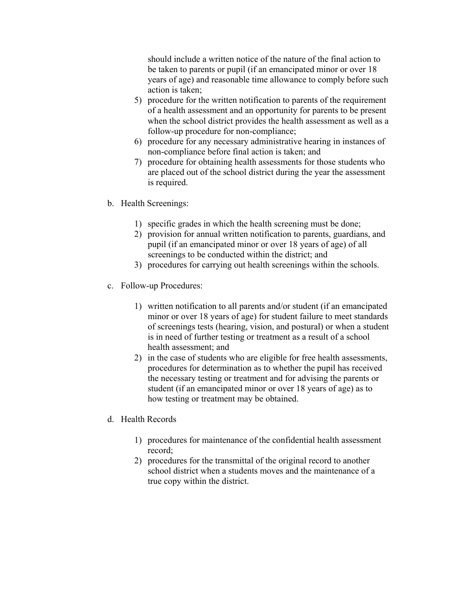should include a written notice of the nature of the final action to be taken to parents or pupil (if an emancipated minor or over 18 years of age) and reasonable time allowance to comply before such action is taken;

- 5) procedure for the written notification to parents of the requirement of a health assessment and an opportunity for parents to be present when the school district provides the health assessment as well as a follow-up procedure for non-compliance;
- 6) procedure for any necessary administrative hearing in instances of non-compliance before final action is taken; and
- 7) procedure for obtaining health assessments for those students who are placed out of the school district during the year the assessment is required.
- b. Health Screenings:
	- 1) specific grades in which the health screening must be done;
	- 2) provision for annual written notification to parents, guardians, and pupil (if an emancipated minor or over 18 years of age) of all screenings to be conducted within the district; and
	- 3) procedures for carrying out health screenings within the schools.
- c. Follow-up Procedures:
	- 1) written notification to all parents and/or student (if an emancipated minor or over 18 years of age) for student failure to meet standards of screenings tests (hearing, vision, and postural) or when a student is in need of further testing or treatment as a result of a school health assessment; and
	- 2) in the case of students who are eligible for free health assessments, procedures for determination as to whether the pupil has received the necessary testing or treatment and for advising the parents or student (if an emancipated minor or over 18 years of age) as to how testing or treatment may be obtained.
- d. Health Records
	- 1) procedures for maintenance of the confidential health assessment record;
	- 2) procedures for the transmittal of the original record to another school district when a students moves and the maintenance of a true copy within the district.